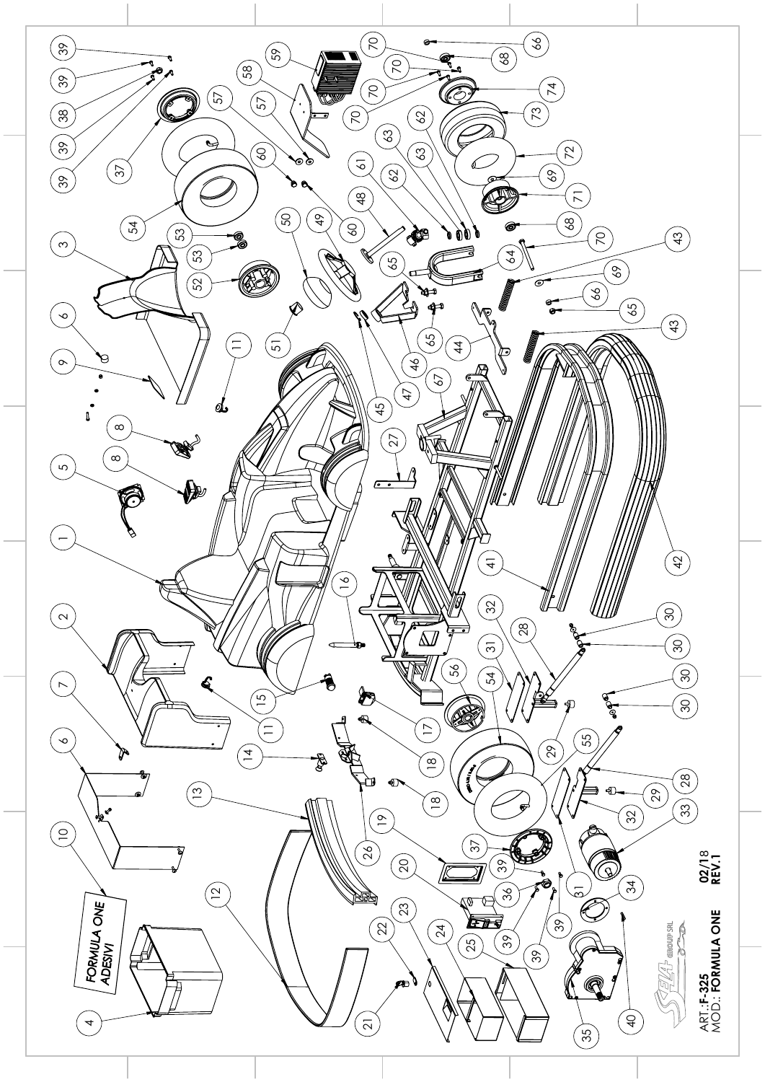